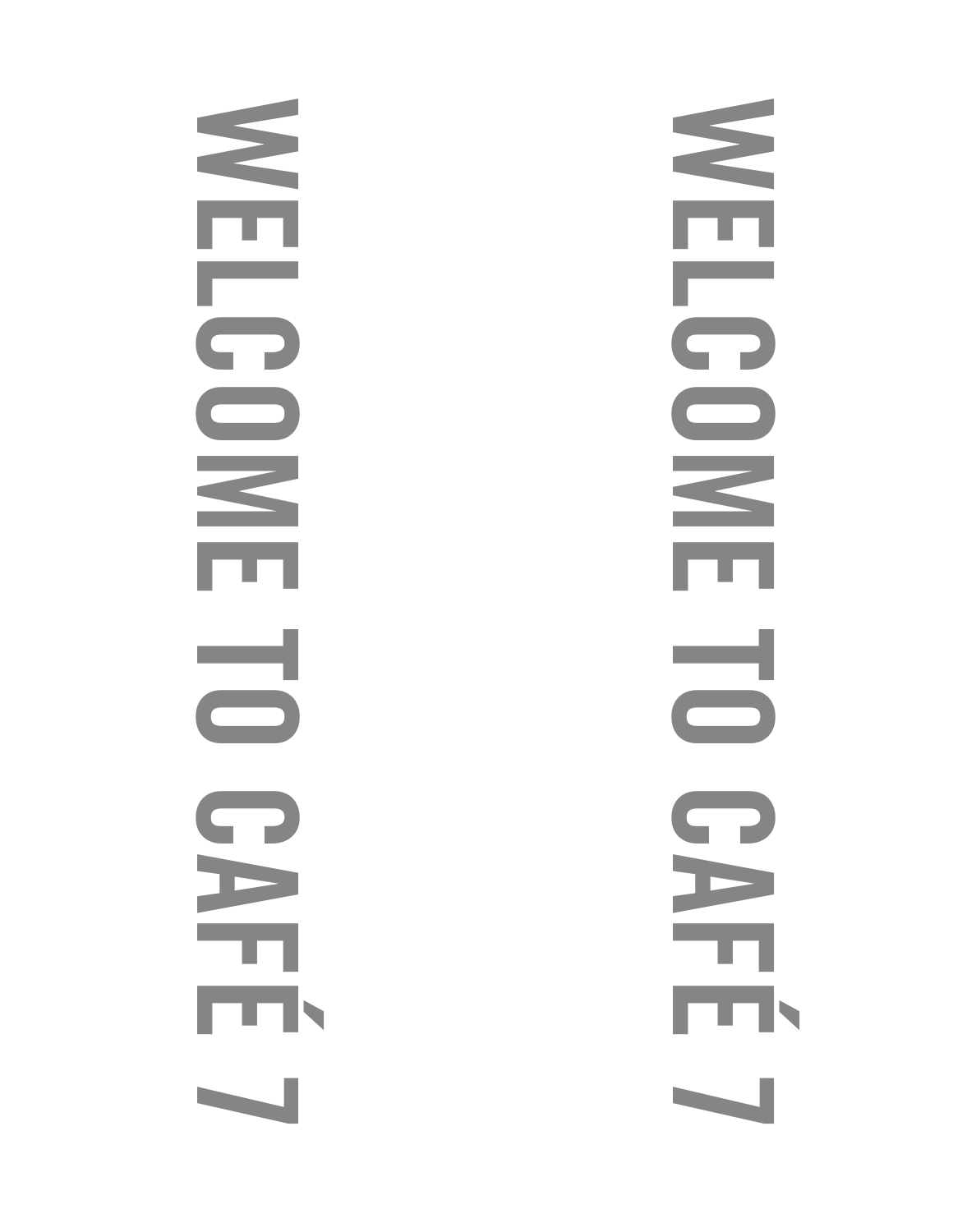NEL **NELCOME TO CAF**  $\bigcap$  $\overline{\Box}$ ═┥  $\Box$  $\bigcap$ E Тŋ, É 7 MELL **NELCOME TO CAF**  $\bigcap$  $\overline{\phantom{1}}$ <u>a s</u>  $\bigcirc$  $\bigcap$ E F É 7